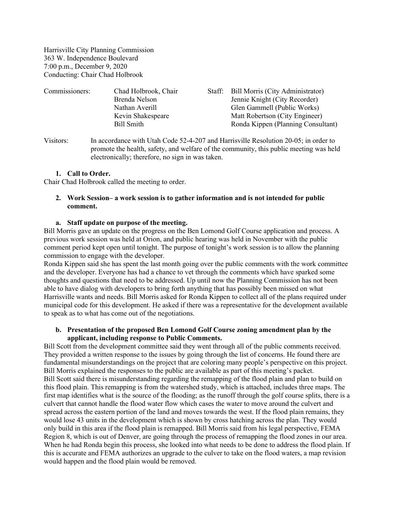Harrisville City Planning Commission 363 W. Independence Boulevard 7:00 p.m., December 9, 2020 Conducting: Chair Chad Holbrook

| Commissioners: | Chad Holbrook, Chair | Staff: | Bill Morris (City Administrator)   |
|----------------|----------------------|--------|------------------------------------|
|                | Brenda Nelson        |        | Jennie Knight (City Recorder)      |
|                | Nathan Averill       |        | Glen Gammell (Public Works)        |
|                | Kevin Shakespeare    |        | Matt Robertson (City Engineer)     |
|                | Bill Smith           |        | Ronda Kippen (Planning Consultant) |
|                |                      |        |                                    |

Visitors: In accordance with Utah Code 52-4-207 and Harrisville Resolution 20-05; in order to promote the health, safety, and welfare of the community, this public meeting was held electronically; therefore, no sign in was taken.

# **1. Call to Order.**

Chair Chad Holbrook called the meeting to order.

# **2. Work Session– a work session is to gather information and is not intended for public comment.**

### **a. Staff update on purpose of the meeting.**

Bill Morris gave an update on the progress on the Ben Lomond Golf Course application and process. A previous work session was held at Orion, and public hearing was held in November with the public comment period kept open until tonight. The purpose of tonight's work session is to allow the planning commission to engage with the developer.

Ronda Kippen said she has spent the last month going over the public comments with the work committee and the developer. Everyone has had a chance to vet through the comments which have sparked some thoughts and questions that need to be addressed. Up until now the Planning Commission has not been able to have dialog with developers to bring forth anything that has possibly been missed on what Harrisville wants and needs. Bill Morris asked for Ronda Kippen to collect all of the plans required under municipal code for this development. He asked if there was a representative for the development available to speak as to what has come out of the negotiations.

### **b. Presentation of the proposed Ben Lomond Golf Course zoning amendment plan by the applicant, including response to Public Comments.**

Bill Scott from the development committee said they went through all of the public comments received. They provided a written response to the issues by going through the list of concerns. He found there are fundamental misunderstandings on the project that are coloring many people's perspective on this project. Bill Morris explained the responses to the public are available as part of this meeting's packet. Bill Scott said there is misunderstanding regarding the remapping of the flood plain and plan to build on this flood plain. This remapping is from the watershed study, which is attached, includes three maps. The first map identifies what is the source of the flooding; as the runoff through the golf course splits, there is a culvert that cannot handle the flood water flow which cases the water to move around the culvert and spread across the eastern portion of the land and moves towards the west. If the flood plain remains, they would lose 43 units in the development which is shown by cross hatching across the plan. They would only build in this area if the flood plain is remapped. Bill Morris said from his legal perspective, FEMA Region 8, which is out of Denver, are going through the process of remapping the flood zones in our area. When he had Ronda begin this process, she looked into what needs to be done to address the flood plain. If this is accurate and FEMA authorizes an upgrade to the culver to take on the flood waters, a map revision would happen and the flood plain would be removed.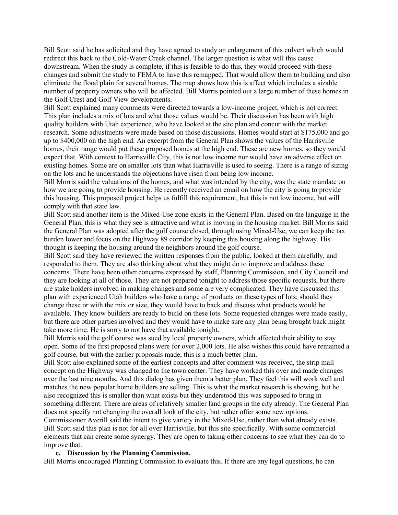Bill Scott said he has solicited and they have agreed to study an enlargement of this culvert which would redirect this back to the Cold-Water Creek channel. The larger question is what will this cause downstream. When the study is complete, if this is feasible to do this, they would proceed with these changes and submit the study to FEMA to have this remapped. That would allow them to building and also eliminate the flood plain for several homes. The map shows how this is affect which includes a sizable number of property owners who will be affected. Bill Morris pointed out a large number of these homes in the Golf Crest and Golf View developments.

Bill Scott explained many comments were directed towards a low-income project, which is not correct. This plan includes a mix of lots and what those values would be. Their discussion has been with high quality builders with Utah experience, who have looked at the site plan and concur with the market research. Some adjustments were made based on those discussions. Homes would start at \$175,000 and go up to \$400,000 on the high end. An excerpt from the General Plan shows the values of the Harrisville homes, their range would put these proposed homes at the high end. These are new homes, so they would expect that. With context to Harrisville City, this is not low income nor would have an adverse effect on existing homes. Some are on smaller lots than what Harrisville is used to seeing. There is a range of sizing on the lots and he understands the objections have risen from being low income.

Bill Morris said the valuations of the homes, and what was intended by the city, was the state mandate on how we are going to provide housing. He recently received an email on how the city is going to provide this housing. This proposed project helps us fulfill this requirement, but this is not low income, but will comply with that state law.

Bill Scott said another item is the Mixed-Use zone exists in the General Plan. Based on the language in the General Plan, this is what they see is attractive and what is moving in the housing market. Bill Morris said the General Plan was adopted after the golf course closed, through using Mixed-Use, we can keep the tax burden lower and focus on the Highway 89 corridor by keeping this housing along the highway. His thought is keeping the housing around the neighbors around the golf course.

Bill Scott said they have reviewed the written responses from the public, looked at them carefully, and responded to them. They are also thinking about what they might do to improve and address these concerns. There have been other concerns expressed by staff, Planning Commission, and City Council and they are looking at all of those. They are not prepared tonight to address those specific requests, but there are stake holders involved in making changes and some are very complicated. They have discussed this plan with experienced Utah builders who have a range of products on these types of lots; should they change these or with the mix or size, they would have to back and discuss what products would be available. They know builders are ready to build on these lots. Some requested changes were made easily, but there are other parties involved and they would have to make sure any plan being brought back might take more time. He is sorry to not have that available tonight.

Bill Morris said the golf course was sued by local property owners, which affected their ability to stay open. Some of the first proposed plans were for over 2,000 lots. He also wishes this could have remained a golf course, but with the earlier proposals made, this is a much better plan.

Bill Scott also explained some of the earliest concepts and after comment was received, the strip mall concept on the Highway was changed to the town center. They have worked this over and made changes over the last nine months. And this dialog has given them a better plan. They feel this will work well and matches the new popular home builders are selling. This is what the market research is showing, but he also recognized this is smaller than what exists but they understood this was supposed to bring in something different. There are areas of relatively smaller land groups in the city already. The General Plan does not specify not changing the overall look of the city, but rather offer some new options. Commissioner Averill said the intent to give variety in the Mixed-Use, rather than what already exists.

Bill Scott said this plan is not for all over Harrisville, but this site specifically. With some commercial elements that can create some synergy. They are open to taking other concerns to see what they can do to improve that.

#### **c. Discussion by the Planning Commission.**

Bill Morris encouraged Planning Commission to evaluate this. If there are any legal questions, he can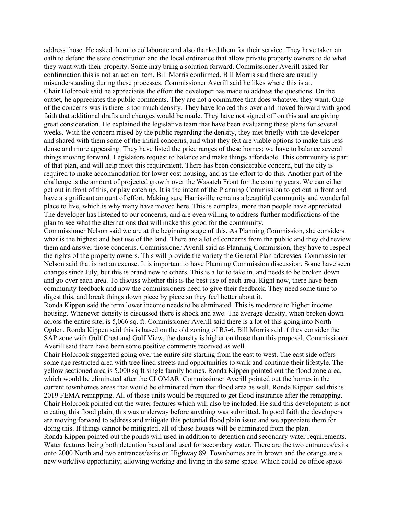address those. He asked them to collaborate and also thanked them for their service. They have taken an oath to defend the state constitution and the local ordinance that allow private property owners to do what they want with their property. Some may bring a solution forward. Commissioner Averill asked for confirmation this is not an action item. Bill Morris confirmed. Bill Morris said there are usually misunderstanding during these processes. Commissioner Averill said he likes where this is at. Chair Holbrook said he appreciates the effort the developer has made to address the questions. On the outset, he appreciates the public comments. They are not a committee that does whatever they want. One of the concerns was is there is too much density. They have looked this over and moved forward with good faith that additional drafts and changes would be made. They have not signed off on this and are giving great consideration. He explained the legislative team that have been evaluating these plans for several weeks. With the concern raised by the public regarding the density, they met briefly with the developer and shared with them some of the initial concerns, and what they felt are viable options to make this less dense and more appeasing. They have listed the price ranges of these homes; we have to balance several things moving forward. Legislators request to balance and make things affordable. This community is part of that plan, and will help meet this requirement. There has been considerable concern, but the city is required to make accommodation for lower cost housing, and as the effort to do this. Another part of the challenge is the amount of projected growth over the Wasatch Front for the coming years. We can either get out in front of this, or play catch up. It is the intent of the Planning Commission to get out in front and have a significant amount of effort. Making sure Harrisville remains a beautiful community and wonderful place to live, which is why many have moved here. This is complex, more than people have appreciated. The developer has listened to our concerns, and are even willing to address further modifications of the plan to see what the alternations that will make this good for the community.

Commissioner Nelson said we are at the beginning stage of this. As Planning Commission, she considers what is the highest and best use of the land. There are a lot of concerns from the public and they did review them and answer those concerns. Commissioner Averill said as Planning Commission, they have to respect the rights of the property owners. This will provide the variety the General Plan addresses. Commissioner Nelson said that is not an excuse. It is important to have Planning Commission discussion. Some have seen changes since July, but this is brand new to others. This is a lot to take in, and needs to be broken down and go over each area. To discuss whether this is the best use of each area. Right now, there have been community feedback and now the commissioners need to give their feedback. They need some time to digest this, and break things down piece by piece so they feel better about it.

Ronda Kippen said the term lower income needs to be eliminated. This is moderate to higher income housing. Whenever density is discussed there is shock and awe. The average density, when broken down across the entire site, is 5,066 sq. ft. Commissioner Averill said there is a lot of this going into North Ogden. Ronda Kippen said this is based on the old zoning of R5-6. Bill Morris said if they consider the SAP zone with Golf Crest and Golf View, the density is higher on those than this proposal. Commissioner Averill said there have been some positive comments received as well.

Chair Holbrook suggested going over the entire site starting from the east to west. The east side offers some age restricted area with tree lined streets and opportunities to walk and continue their lifestyle. The yellow sectioned area is 5,000 sq ft single family homes. Ronda Kippen pointed out the flood zone area, which would be eliminated after the CLOMAR. Commissioner Averill pointed out the homes in the current townhomes areas that would be eliminated from that flood area as well. Ronda Kippen sad this is 2019 FEMA remapping. All of those units would be required to get flood insurance after the remapping. Chair Holbrook pointed out the water features which will also be included. He said this development is not creating this flood plain, this was underway before anything was submitted. In good faith the developers are moving forward to address and mitigate this potential flood plain issue and we appreciate them for doing this. If things cannot be mitigated, all of those houses will be eliminated from the plan. Ronda Kippen pointed out the ponds will used in addition to detention and secondary water requirements. Water features being both detention based and used for secondary water. There are the two entrances/exits onto 2000 North and two entrances/exits on Highway 89. Townhomes are in brown and the orange are a new work/live opportunity; allowing working and living in the same space. Which could be office space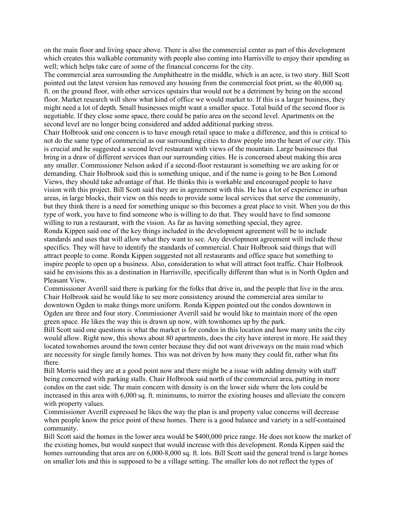on the main floor and living space above. There is also the commercial center as part of this development which creates this walkable community with people also coming into Harrisville to enjoy their spending as well; which helps take care of some of the financial concerns for the city.

The commercial area surrounding the Amphitheatre in the middle, which is an acre, is two story. Bill Scott pointed out the latest version has removed any housing from the commercial foot print, so the 40,000 sq. ft. on the ground floor, with other services upstairs that would not be a detriment by being on the second floor. Market research will show what kind of office we would market to. If this is a larger business, they might need a lot of depth. Small businesses might want a smaller space. Total build of the second floor is negotiable. If they close some space, there could be patio area on the second level. Apartments on the second level are no longer being considered and added additional parking stress.

Chair Holbrook said one concern is to have enough retail space to make a difference, and this is critical to not do the same type of commercial as our surrounding cities to draw people into the heart of our city. This is crucial and he suggested a second level restaurant with views of the mountain. Large businesses that bring in a draw of different services than our surrounding cities. He is concerned about making this area any smaller. Commissioner Nelson asked if a second-floor restaurant is something we are asking for or demanding. Chair Holbrook said this is something unique, and if the name is going to be Ben Lomond Views, they should take advantage of that. He thinks this is workable and encouraged people to have vision with this project. Bill Scott said they are in agreement with this. He has a lot of experience in urban areas, in large blocks, their view on this needs to provide some local services that serve the community, but they think there is a need for something unique so this becomes a great place to visit. When you do this type of work, you have to find someone who is willing to do that. They would have to find someone willing to run a restaurant, with the vision. As far as having something special, they agree. Ronda Kippen said one of the key things included in the development agreement will be to include

standards and uses that will allow what they want to see. Any development agreement will include these specifics. They will have to identify the standards of commercial. Chair Holbrook said things that will attract people to come. Ronda Kippen suggested not all restaurants and office space but something to inspire people to open up a business. Also, consideration to what will attract foot traffic. Chair Holbrook said he envisions this as a destination in Harrisville, specifically different than what is in North Ogden and Pleasant View.

Commissioner Averill said there is parking for the folks that drive in, and the people that live in the area. Chair Holbrook said he would like to see more consistency around the commercial area similar to downtown Ogden to make things more uniform. Ronda Kippen pointed out the condos downtown in Ogden are three and four story. Commissioner Averill said he would like to maintain more of the open green space. He likes the way this is drawn up now, with townhomes up by the park.

Bill Scott said one questions is what the market is for condos in this location and how many units the city would allow. Right now, this shows about 80 apartments, does the city have interest in more. He said they located townhomes around the town center because they did not want driveways on the main road which are necessity for single family homes. This was not driven by how many they could fit, rather what fits there.

Bill Morris said they are at a good point now and there might be a issue with adding density with staff being concerned with parking stalls. Chair Holbrook said north of the commercial area, putting in more condos on the east side. The main concern with density is on the lower side where the lots could be increased in this area with 6,000 sq. ft. minimums, to mirror the existing houses and alleviate the concern with property values.

Commissioner Averill expressed he likes the way the plan is and property value concerns will decrease when people know the price point of these homes. There is a good balance and variety in a self-contained community.

Bill Scott said the homes in the lower area would be \$400,000 price range. He does not know the market of the existing homes, but would suspect that would increase with this development. Ronda Kippen said the homes surrounding that area are on 6,000-8,000 sq. ft. lots. Bill Scott said the general trend is large homes on smaller lots and this is supposed to be a village setting. The smaller lots do not reflect the types of